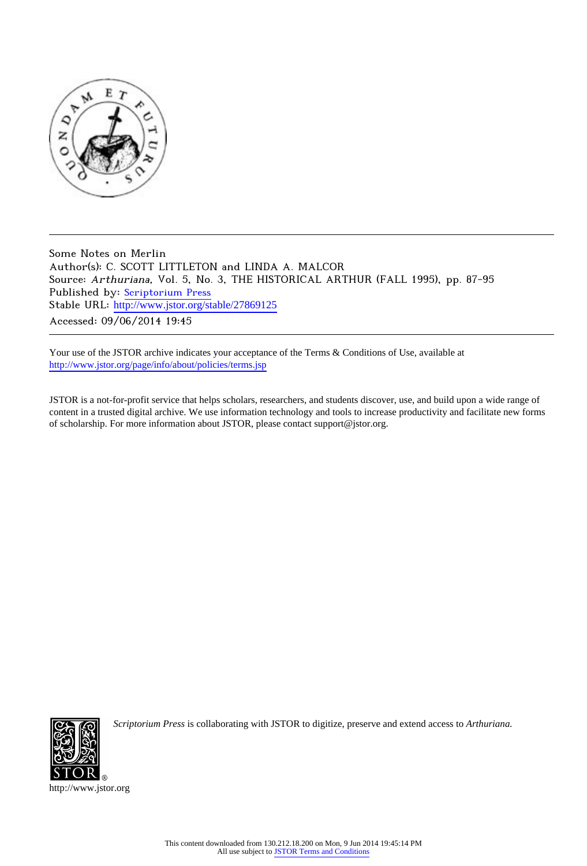

Some Notes on Merlin Author(s): C. SCOTT LITTLETON and LINDA A. MALCOR Source: Arthuriana, Vol. 5, No. 3, THE HISTORICAL ARTHUR (FALL 1995), pp. 87-95 Published by: [Scriptorium Press](http://www.jstor.org/action/showPublisher?publisherCode=scriptorium) Stable URL: http://www.jstor.org/stable/27869125 Accessed: 09/06/2014 19:45

Your use of the JSTOR archive indicates your acceptance of the Terms & Conditions of Use, available at <http://www.jstor.org/page/info/about/policies/terms.jsp>

JSTOR is a not-for-profit service that helps scholars, researchers, and students discover, use, and build upon a wide range of content in a trusted digital archive. We use information technology and tools to increase productivity and facilitate new forms of scholarship. For more information about JSTOR, please contact support@jstor.org.



*Scriptorium Press* is collaborating with JSTOR to digitize, preserve and extend access to *Arthuriana.*

http://www.jstor.org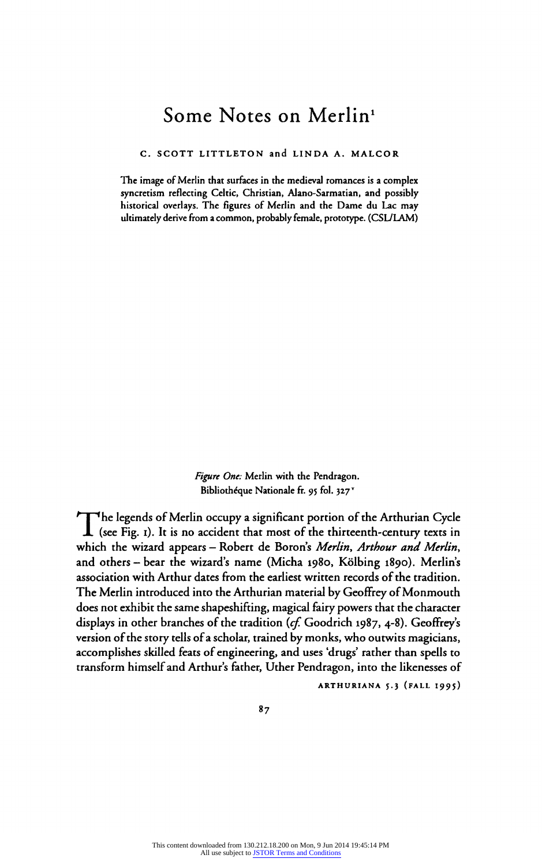# Some Notes on Merlin<sup>1</sup>

C. SCOTT LITTLETON and LINDA A. MALCOR

The image of Merlin that surfaces in the medieval romances is a complex<br>syncretism reflecting Celtic, Christian, Alano-Sarmatian, and possibly syncretism reflecting Cente, Christian, Alano-Sarmatian, and possibly historical overlays. The figures of Merlin and the Dame du Lac may ultimately derive from a common, probably female, prototype. (CSL/LAM)

> Figure One: Merlin with the Pendragon. Bibliothéque Nationale fr. 95 fol. 327<sup>v</sup>

legends of Merlin occupy a significant portion of the Arthurian Cycle (see Fig. 1). It is no accident that most of the thirteenth-century texts in which the wizard appears – Robert de Boron's *Merlin, Arthour and Merli*n and others-bear the wizard's name (Micha 1980, Kölbing 1890). Merlin's association with Arthur dates from the earliest written records of the tradition. The Merlin introduced into the Arthurian material by Geoffrey of Monmouth does not exhibit the same shapeshifting, magical fairy powers that the character displays in other branches of the tradition (cf. Goodrich 1987, 4-8). Geoffrey's version of the story tells of a scholar, trained by monks, who outwits magicians, accomplishes skilled feats of engineering, and uses 'drugs' rather than spells to transform himself and Arthur's father, Uther Pendragon, into the likenesses of

ARTHURIANA 5.3 (FALL 1995)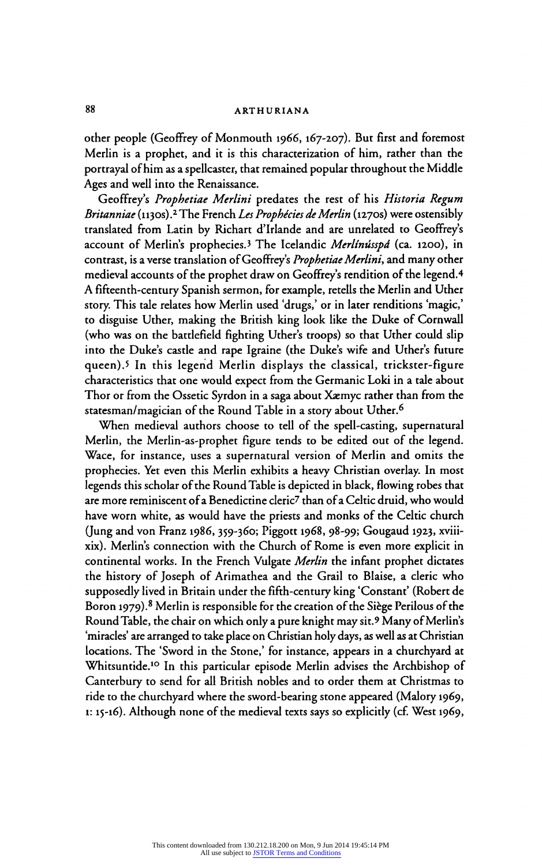other people (Geoffrey of Monmouth 1966, 167-207). But first and foremost Merlin is a prophet, and it is this characterization of him, rather than the portrayal of him as a spellcaster, that remained popular throughout the Middle Ages and well into the Renaissance.<br>Geoffrey's *Prophetiae Merlini* predates the rest of his *Historia Regum* 

Britanniae (1130s).<sup>2</sup> The French Les Prophécies de Merlin (1270s) were ostensibly Britanniae (1130s).<sup>2</sup> The French Les Prophecies de Merlin (1270s) were ostensibly translated from Latin by Richart d'Irlande and are unrelated to Geoffrey account of Merlins prophecies.<sup>3</sup> The Icelandic *Merlinusspa* (ca. 1200), in contrast, is a verse translation of Geoffrey's *Prophetiae Merlini*, and many other medieval accounts of the prophet draw on Geoffrey's rendition of the legend.4 A fifteenth-century Spanish sermon, for example, retells the Merlin and Uther story. This tale relates how Merlin used 'drugs,' or in later renditions 'magic,' to disguise Uther, making the British king look like the Duke of Cornwall (who was on the battlefield fighting Uther's troops) so that Uther could slip into the Duke's castle and rape Igraine (the Duke's wife and Uther's future queen).5 In this legend Merlin displays the classical, trickster-figure characteristics that one would expect from the Germanic Loki in a tale about Thor or from the Ossetic Syrdon in a saga about Xæmyc rather than from the statesman/magician of the Round Table in a story about Uther.<sup>6</sup>

When medieval authors choose to tell of the spell-casting, supernatural Merlin, the Merlin-as-prophet figure tends to be edited out of the legend. Wace, for instance, uses a supernatural version of Merlin and omits the prophecies. Yet even this Merlin exhibits a heavy Christian overlay. In most legends this scholar of the Round Table is depicted in black, flowing robes that are more reminiscent of a Benedictine cleric? than of a Celtic druid, who would have worn white, as would have the priests and monks of the Celtic church (Jung and von Franz 1986, 359-360; Piggott 1968, 98-99; Gougaud 1923, xviii xix). Merlin's connection with the Church of Rome is even more explicit in continental works. In the French Vulgate Merlin the infant prophet dictates the history of Joseph of Arimathea and the Grail to Blaise, a cleric who supposedly lived in Britain under the fifth-century king 'Constant' (Robert de Boron 1979).<sup>8</sup> Merlin is responsible for the creation of the Siège Perilous of the Round Table, the chair on which only a pure knight may sit.<sup>9</sup> Many of Merlin miracles' are arranged to take place on Christian holy days, as well as at Christian locations. The 'Sword in the Stone,' for instance, appears in a churchyard at Whitsuntide.10 In this particular episode Merlin advises the Archbishop of Canterbury to send for all British nobles and to order them at Christmas to ride to the churchyard where the sword-bearing stone appeared (Malory 1969, 1:15-16). Although none of the medieval texts says so explicitly (cf. West 1969,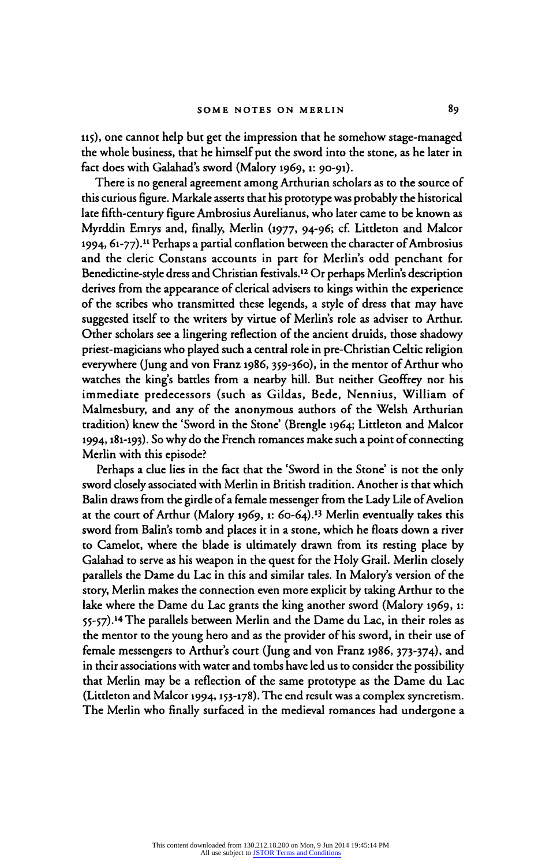115), one cannot help but get the impression that he somehow stage-managed the whole business, that he himself put the sword into the stone, as he later in fact does with Galahad's sword (Malory 1969, 1: 90-91).

There is no general agreement among Arthurian scholars as to the source of this curious figure. Markale asserts that his prototype was probably the historical late fifth-century figure Ambrosius Aurelianus, who later came to be known as<br>Myrddin Emrys and, finally, Merlin (1977, 94-96; cf. Littleton and Malcor Myrddin Emrys and, finally, Merlin  $(1977, 94-96;$  cf. Littleton and Malcor 1994, 61-77).<sup>11</sup> Perhaps a partial conflation between the character of Ambrosius  $\epsilon$ and the cleric Constans accounts in part for Merlin's odd penchant for Benedictine-style dress and Christian festivals.<sup>22</sup> Or perhaps Merlin's description derives from the appearance of clerical advisers to kings within the experience of the scribes who transmitted these legends, a style of dress that may have suggested itself to the writers by virtue of Merlin's role as adviser to Arthur. Other scholars see a lingering reflection of the ancient druids, those shadowy priest-magicians who played such a central role in pre-Christian Celtic religion everywhere (Jung and von Franz 1986, 359-360), in the mentor of Arthur who watches the king's battles from a nearby hill. But neither Geoffrey nor his immediate predecessors (such as Gildas, Bede, Nennius, William of Malmesbury, and any of the anonymous authors of the Welsh Arthurian tradition) knew the 'Sword in the Stone' (Brengle 1964; Littleton and Malcore 1994,181-193). So why do the French romances make such a point of connecting Merlin with this episode?

Perhaps a clue lies in the fact that the 'Sword in the Stone' is not the only sword closely associated with Merlin in British tradition. Another is that which Balin draws from the girdle of a female messenger from the Lady Lile of Avelion at the court of Arthur (Malory 1969, 1: 60-64).<sup>13</sup> Merlin eventually takes this sword from Balin's tomb and places it in a stone, which he floats down a river<br>to Camelot, where the blade is ultimately drawn from its resting place by to Camelot, where the blade is ultimately drawn from its resting place by Galahad to serve as his weapon in the quest for the Holy Grail. Merlin closely parallels the Dame du Lac in this and similar tales. In Malory's version of the story, Merlin makes the connection even more explicit by taking Arthur to the lake where the Dame du Lac grants the king another sword (Malory 1969, 1: 55-57).<sup>14</sup> The parallels between Merlin and the Dame du Lac, in their roles as the mentor to the young hero and as the provider of his sword, in their use of female messengers to Arthur's court (Jung and von Franz 1986, 373-374), and in their associations with water and tombs have led us to consider the possibility that Merlin may be a reflection of the same prototype as the Dame du Lac (Littleton and Malcor 1994,153-178). The end result was a complex syncretism. The Merlin who finally surfaced in the medieval romances had undergone a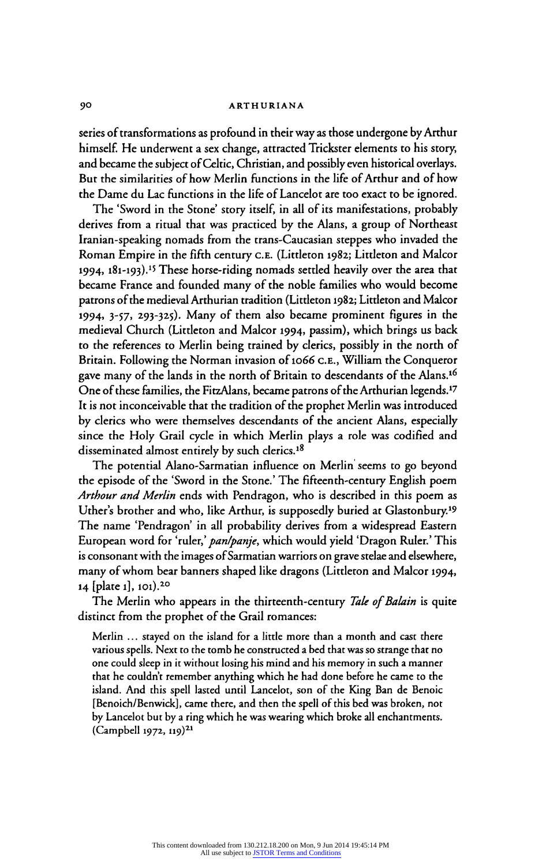series of transformations as profound in their way as those undergone by Arthur himself. He underwent a sex change, attracted Trickster elements to his story, and became the subject of Celtic, Christian, and possibly even historical overlays. and became the subject of Celtic, Christian, and possibly even historical overlays. Bur the similarities of how Merlin funcrions in the life of Arthur and of how the Dame du Lac functions in the life of Lancelot are too exact to be ignored.

The 'Sword in the Stone' story itself, in all of its manifestations, probably derives from a ritual that was practiced by the Alans, a group of Northeast<br>Iranian-speaking nomads from the trans-Caucasian steppes who invaded the Iranian-speaking nomads from the trans-Caucasian steppes who invaded the Roman Empire in the fifth century C.E. (Littleton 1982; Littleton and Malcor 1994, 181-193).\*5 These horse-riding nomads settled heavily over the area that became France and founded many of the noble families who would become<br>patrons of the medieval Arthurian tradition (Littleton 1982; Littleton and Malcor patrons of the medieval Arthurian tradition (Littleton 1982; Littleton and Malcor 1994,  $3-57$ , 293-325). Many of them also became prominent figures in the medieval Church (Littleton and Malcor 1994, passim), which brings us back to the references to Merlin being trained by clerics, possibly in the north of Britain. Following the Norman invasion of 1066 c.e., William the Conqueror Britain. Following the Norman invasion of 1066 C.E., William the Conquer gave many of the lands in the north of Britain to descendants of the Alans.<sup>2</sup> One of these families, the FitzMans, became patrons of the Arthurian legends.<sup>1</sup> It is not inconceivable that the tradition of the prophet Merlin was introduced by clerics who were themselves descendants of the ancient Alans, especially since the Holy Grail cycle in which Merlin plays a role was codified and disseminated almost entirely by such clerics.<sup>18</sup>

The potential Alano-Sarmatian influence on Merlin seems to go beyond the episode of the 'Sword in the Stone.' The fifteenth-century English poem Arthour and Merlin ends with Pendragon, who is described in this poem as Uther's brother and who, like Arthur, is supposedly buried at Glastonbury.<sup>19</sup> The name 'Pendragon' in all probability derives from a widespread Eastern European word for 'ruler,' pan/panje, which would yield 'Dragon Ruler.' This is consonant with the images of Sarmatian warriors on grave stelae and elsewhere, many of whom bear banners shaped like dragons (Littleton and Malcor 1994, 14 [plate 1], 101).20

The Merlin who appears in the thirteenth-century Tale of Balain is quite distinct from the prophet of the Grail romances:

Merlin ... stayed on the island for a little more than a month and cast there various spells. Next to the tomb he constructed a bed that was so strange that no one could sleep in it without losing his mind and his memory in such a manner that he couldn't remember anything which he had done before he came to the island. And this spell lasted until Lancelot, son of the King Ban de Benoic [Benoich/Benwick], came there, and then the spell of this bed was broken, not by Lancelot but by a ring which he was wearing which broke all enchantments. (Campbell 1972, 119)<sup>21</sup>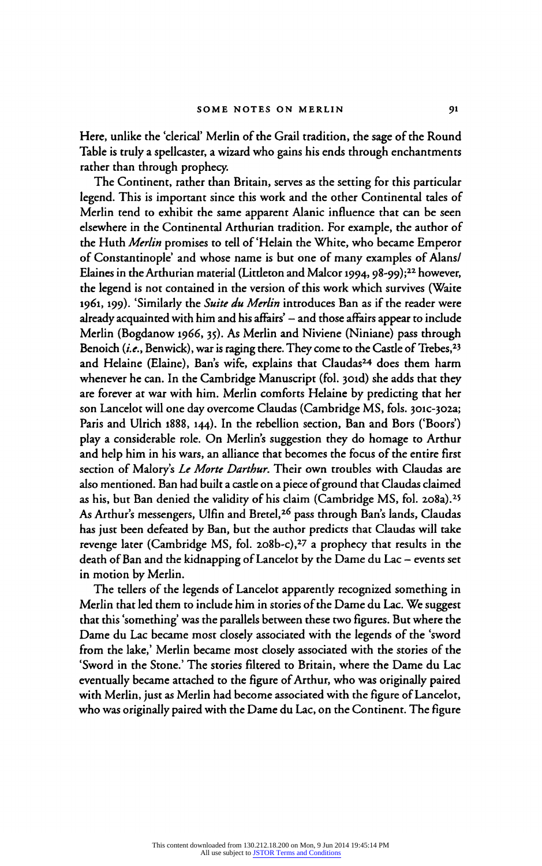Here, unlike the 'clerical\* Merlin of the Grail tradition, the sage of the Round Table is truly a spellcaster, a wizard who gains his ends through enchantments rather than through prophecy.

The Continent, rather than Britain, serves as the setting for this particular legend. This is important since this work and the other Continental tales of Merlin tend to exhibit the same apparent Alanic influence that can be seen elsewhere in the Continental Arthurian tradition. For example, the author of the Huth *Merlin* promises to tell of  $H$  Helain the White, who became Emperor of Constantinople' and whose name is but one of many examples of Alans/ Elaines in the Arthurian material (Littleton and Malcor 1994, 98-99);<sup>22</sup> however, the legend is not contained in the version of this work which survives (Waite the legend is not contained in the version of this work which survives (waite 1961, 199). Similarly the Suite du Merlin introduces Ban as if the reader were already acquainted with him and his affairs' - and those affairs appear to include Merlin (Bogdanow 1966, 35). As Merlin and Niviene (Niniane) pass through Benoich (*i.e.*, Benwick), war is raging there. They come to the Castle of Trebes,<sup>23</sup> and Helaine (Elaine), Ban's wife, explains that Claudas<sup>24</sup> does them harm whenever he can. In the Cambridge Manuscript (fol. 30id) she adds that they are forever at war with him. Merlin comforts Helaine by predicting that her son Lancelot will one day overcome Claudas (Cambridge MS, fols. 30ic-302a; Paris and Ulrich 1888, 144). In the rebellion section, Ban and Bors ('Boors') play a considerable role. On Merlin's suggestion they do homage to Arthur and help him in his wars, an alliance that becomes the focus of the entire first section of Malory's Le Morte Darthur. Their own troubles with Claudas are also mentioned. Ban had built a castle on a piece of ground that Claudas claimed as his, but Ban denied the validity of his claim (Cambridge MS, fol. 208a).25 As Arthur's messengers, Ulfin and Bretel,<sup>26</sup> pass through Ban's lands, Claudas has just been defeated by Ban, but the author predicts that Claudas will take revenge later (Cambridge MS, fol. 208b-c), $27$  a prophecy that results in the death of Ban and the kidnapping of Lancelot by the Dame du Lac - events set in motion by Merlin.

The tellers of the legends of Lancelot apparently recognized something in Merlin that led them to include him in stories of the Dame du Lac. We suggest that this 'something was the parallels between these two figures. But where the Dame du Lac became most closely associated with the legends of the 'sword<br>from the lake,' Merlin became most closely associated with the stories of the from the lake, Merlin became most closely associated with the stories of the Sword in the Stone. The stories filtered to Britain, where the Dame du La eventually became attached to the figure of Arthur, who was originally paired with Merlin, just as Merlin had become associated with the figure of Lancelot, who was originally paired with the Dame du Lac, on the Continent. The figure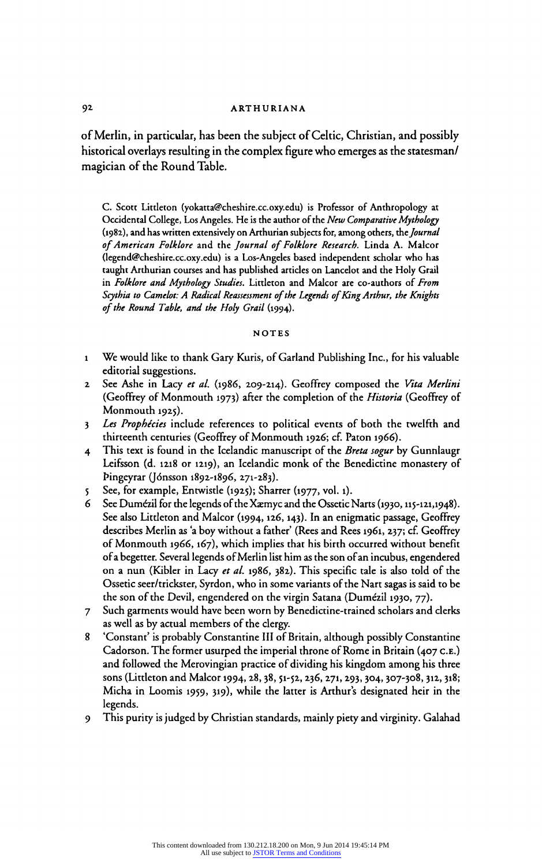of Merlin, in particular, has been the subject of Celtic, Christian, and possibly historical overlays resulting in the complex figure who emerges as the statesman/ magician of the Round Table.

C. Scott Littleton (yokatta@cheshire.cc.oxy.edu) is Professor of Anthropology at Occidental College, Los Angeles. He is the author of the New Comparative Mythology (1982), and has written extensively on Arthurian subjects for, among others, the Journal of American Folklore and the Journal of Folklore Research. Linda A. Malcor (legend@cheshire.cc.oxy.edu) is a Los-Angeles based independent scholar who has taught Arthurian courses and has published articles on Lancelot and the Holy Grail in Folklore and Mythology Studies. Littleton and Malcor are co-authors of From Scythia to Camelot: A Radical Reassessment of the Legends of King Arthur, the Knights of the Round Table, and the Holy Grail (1994).

#### NOTES

- 1 We would like to thank Gary Kuris, of Garland Publishing Inc., for his valuable editorial suggestions.
- 2 See Ashe in Lacy et al. (1986, 209-214). Geoffrey composed the Vita Merlini (Geoffrey of Monmouth 1973) after the completion of the Historia (Geoffrey of Monmouth 1925).
- 3 Les Prophécies include references to political events of both the twelfth and thirteenth centuries (Geoffrey of Monmouth 1926; cf. Paton 1966).
- 4 This text is found in the Icelandic manuscript of the Breta sogur by Gunnlaugr Leifsson (d. 1218 or 1219), an Icelandic monk of the Benedictine monastery of Dingeyrar (Jónsson 1892-1896, 271-283).  $f = \int_0^{\pi} \frac{1}{\pi} \int_0^{\pi} \frac{1}{\pi} \int_0^{\pi} \frac{1}{\pi} \int_0^{\pi} \frac{1}{\pi} \int_0^{\pi} \frac{1}{\pi} \int_0^{\pi} \frac{1}{\pi} \int_0^{\pi} \frac{1}{\pi} \int_0^{\pi} \frac{1}{\pi} \int_0^{\pi} \frac{1}{\pi} \int_0^{\pi} \frac{1}{\pi} \int_0^{\pi} \frac{1}{\pi} \int_0^{\pi} \frac{1}{\pi} \int_0^{\pi} \frac{1}{\pi} \int_0^{\pi} \frac$
- $5$  See, for example, Entwistle (1925); Sharrer (1977, vol. 1).
- 6 See Dumézil for the legends of the Xæmyc and the Ossetic Narts (1930, 115-121,1948). See also Litdeton and Malcor (1994,126,143). In an enigmatic passage, Geoffrey describes Merlin as 'a boy without a father' (Rees and Rees 1961, 237; cf. Geoffrey of Monmouth 1966, 167), which implies that his birth occurred without benefit of a begetter. Several legends of Merlin list him as the son of an incubus, engendered on a nun (Kibler in Lacy et al. 1986, 382). This specific tale is also told of the Ossetic seer/trickster, Syrdon, who in some variants of the Nart sagas is said to be the son of the Devil, engendered on the virgin Satana (Dumézil 1930, 77).
- 7 Such garments would have been worn by Benedictine-trained scholars and clerks as well as by actual members of the clergy.
- 8 'Constant' is probably Constantine III of Britain, although possibly Constantine Cadorson. The former usurped the imperial throne of Rome in Britain  $(407 \text{ C.E.})$ and followed the Merovingian practice of dividing his kingdom among his three sons (Littleton and Malcor 1994,28,38, 51-52, 236, 271,293, 304,307-308, 312,318; Micha in Loomis 1959, 319), while the latter is Arthur's designated heir in the<br>legends.
- 9 This purity is judged by Christian standards, mainly piety and virginity. Galahad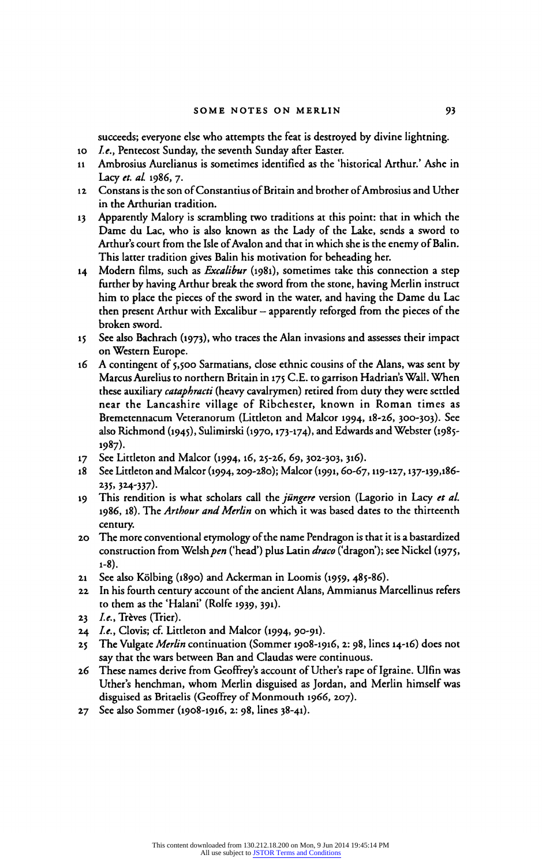succeeds; everyone else who attempts the feat is destroyed by divine lightning.

- 10 I.e., Pentecost Sunday, the seventh Sunday after Easter.
- Ambrosius Aurelianus is sometimes identified as the 'historical Arthur.' Ashe in Lacy et. al. 1986, 7. Lacy et. *al.* 1986, 7.
- 12 Constans is the son of Constantius of Britain and brother of Ambrosius and Uther in the Arthurian tradition.
- 13 Apparently Malory is scrambling two traditions at this point: that in which the Dame du Lac, who is also known as the Lady of the Lake, sends a sword to Arthur's court from the Isle of Avalon and that in which she is the enemy of Balin. This latter tradition gives Balin his motivation for beheading her.<br>14 Modern films, such as *Excalibur* (1981), sometimes take this con
- Modern films, such as *Excalibur* (1981), sometimes take this connection a step further by having Arthur break the sword from the stone, having Merlin instruct him to place the pieces of the sword in the water, and having the Dame du Lac then present Arthur with Excalibur – apparently reforged from the pieces of the broken sword.
- 15 See also Bachrach (1973), who traces the Alan invasions and assesses their impact on Western Europe.<br>16 A contingent of 5,50
- A contingent of 5,500 Sarmatians, close ethnic cousins of the Alans, was sent by Marcus Aurelius to northern Britain in 175 C.E. to garrison Hadrian's Wall. When these auxiliary cataphracti (heavy cavalrymen) retired from duty they were settled near the Lancashire village of Ribchester, known in Roman times as Bremetennacum Veteranorum (Littleton and Malcor 1994, 18-26, 300-303). See also Richmond (1945), Sulimirski (1970, 173-174), and Edwards and Webster (1985-<br>1987).  $\frac{1}{2}$
- 17 See Littleton and Malcor (1994,16, 25-26, 69, 302-303, 316).
- 18 See Littleton and Malcor (1994, 209-280); Malcor (1991, 60-67, 119-127, 137-139,186-<br>235, 324-337).  $\frac{23}{10}$ ,  $\frac{324-337}{10}$
- 19 This rendition is what scholars call the *jungere* version (Lagorio in Lacy *et al.*) 1986, 18). The *Arthour and Merlin* on which it was based dates to the thirteenth<br>century.
- 20 The more conventional etymology of the name Pendragon is that it is a bastardized construction from Welsh *pen* ('head') plus Latin *draco* ('dragon'); see Nickel (1975,<br>1-8).
- 21 See also Kölbing (1890) and Ackerman in Loomis (1959, 485-86)
- 22 In his fourth century account of the ancient Alans, Ammianus Marcellinus refers to them as the 'Halani\* (Rolfe 1939, 391).
- $23$  *I.e.*, Trèves (Trier).
- 24 *I.e.*, Clovis; cf. Littleton and Malcor (1994, 90-91).<br>25 The Vulgate *Merlin* continuation (Sommer 1908-19
- The Vulgate Merlin continuation (Sommer 1908-1916, 2: 98, lines 14-16) does not say that the wars between Ban and Claudas were continuous.
- 26 These names derive from Geoffrey's account of Uther's rape of Igraine. Ulfin was Uther's henchman, whom Merlin disguised as Jordan, and Merlin himself was disguised as Britaelis (Geoffrey of Monmouth 1966, 207).
- 27 See also Sommer (1908-1916, 2: 98, lines 38-41).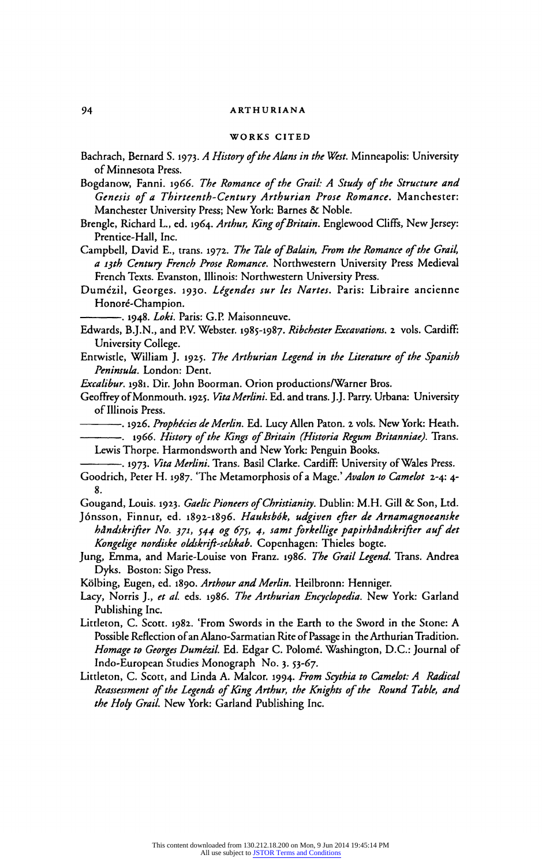#### WORKS CITED

- Bachrach, Bernard S. 1973. A History of the Alans in the West. Minneapolis: University of Minnesota Press.
- Bogdanow, Fanni. 1966. The Romance of the Grail: A Study of the Structure and Genesis of a Thirteenth-Century Arthurian Prose Romance. Manchester:<br>Manchester University Press; New York: Barnes & Noble. Manchester University Press; New York: Barnes  $\alpha$  Noble
- Brengle, Richard L., ed. 1964. Arthur, King of Britain. Englewood Cliffs, New Jersey:<br>Description II. II. I Prentice-Hall, Inc.

Campbell, David E., trans. 1972. The Tale of Balain, From the Romance of the Grail, a 13th Century French Prose Romance. Northwestern University Press Medieval French Texts. Evanston, Illinois: Northwestern University Press.

Dumézil, Georges. 1930. Légendes sur les Nartes. Paris: Libraire ancienne<br>Honoré-Champion.

1948. Loki. Paris: G.P. Maisonne

- Edwards, B.J.N., and P.V. Webster. 1985-1987. Ribchester Excavations. 2 vols. Cardiff:<br>University College.
- $U = U \cup U$ Entwistie, William J. 1925. The Arthurian Legend in the Literature of the Spanish Peninsula. London: Dent.
- Excalibur. 1981. Dir. John Boorman. Orion productions/Warner Bros.
- Geoffrey of Monmouth. 1925. Vita Merlini. Ed. and trans. J.J. Parry. Urbana: University of Illinois Press.
- -. 1926. Prophécies de Merlin. Ed. Lucy Allen Paton. 2 vols. New York: Heath.
- -. 1966. History of the Kings of Britain (Historia Regum Britanniae). Trans. Lewis Thorpe. Harmondsworth and New York: Penguin Books.
- -. 1973. *Vita Merlini*. Trans. Basil Clarke. Cardiff: University of Wales Press. Goodrich, Peter H. 1987. 'The Metamorphosis of a Mage.' Avalon to Camelot 2-4: 4-8.
- Gougand, Louis. 1923. Gaelic Pioneers of Christianity. Dublin: M.H. Gill & Son, Ltd.
- Jónsson, Finnur, ed. 1892-1896. Hauksbók, udgiven efter de Arnamagnoeanske håndskrifter No. 371, 544 og 675, 4, samt forkellige papirhåndskrifter auf det Kongelige nordiske oldskrift-selskab. Copenhagen: Thieles bogte.
- Jung, Emma, and Marie-Louise von Franz. 1986. The Grail Legend. Trans. Andrea Dyks. Boston: Sigo Press.
- Kölbing, Eugen, ed. 1890. Arthour and Merlin. Heilbronn: Henniger.
- Lacy, Norris J., et al. eds. 1986. The Arthurian Encyclopedia. New York: Garland Publishing Inc.
- Littleton, C. Scott. 1982. 'From Swords in the Earth to the Sword in the Stone: A Possible Reflection of an Alano-Sarmatian Rite of Passage in the Arthurian Tradition. Homage to Georges Dumézil. Ed. Edgar C. Polomé. Washington, D.C.: Journal of Indo-European Studies Monograph No. 3. 53-67.
- Littleton, C. Scott, and Linda A. Malcor. 1994. From Scythia to Camelot: A Radical Reassessment of the Legends of King Arthur, the Knights of the Round Table, and the Holy Grail. New York: Garland Publishing Inc.